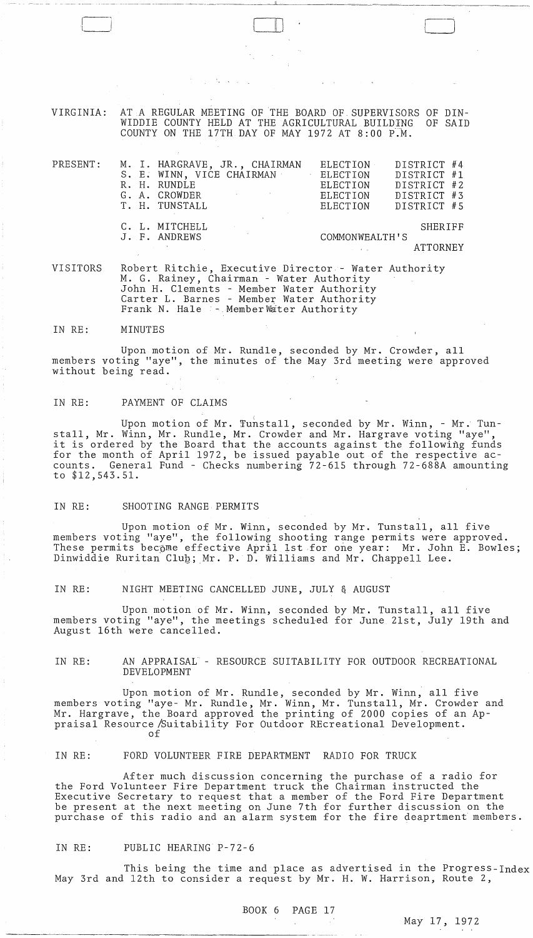VIRGINIA: AT A REGULAR MEETING OF THE BOARD OF SUPERVISORS OF DIN-<br>WIDDIE COUNTY HELD AT THE AGRICULTURAL BUILDING OF SAID WIDDIE COUNTY HELD AT THE AGRICULTURAL BUILDING COUNTY ON THE 17TH DAY OF MAY 1972 AT  $8:00$  P.M.

 $\Box$ 

| $\mathtt{PRESENT}$ : |  | M. I. HARGRAVE, JR., CHAIRMAN                  | ELECTION       |  | DISTRICT #4 |  |
|----------------------|--|------------------------------------------------|----------------|--|-------------|--|
|                      |  | S. E. WINN, VICE CHAIRMAN                      | ELECTION       |  | DISTRICT #1 |  |
|                      |  | R. H. RUNDLE                                   | ELECTION       |  | DISTRICT #2 |  |
|                      |  | G. A. CROWDER<br>and the state of the state of | ELECTION       |  | DISTRICT #3 |  |
|                      |  | T. H. TUNSTALL                                 | ELECTION       |  | DISTRICT #5 |  |
|                      |  | C. L. MITCHELL                                 |                |  | SHERIFF     |  |
|                      |  | J. F. ANDREWS                                  | COMMONWEALTH'S |  |             |  |
|                      |  |                                                |                |  | ATTORNEY    |  |

VISITORS Robert Ritchie, Executive Director - Water Authority M. G. Rainey, Chairman - Water Authority John H. Clements - Member Water Authority Carter L. Barnes - Member Water Authority Frank N. Hale :- MemberWater Authority

IN RE: MINUTES

 $\sqrt{ }$ 

Upon motion of Mr. Rundle, seconded by Mr. Crowder, all members voting "aye", the minutes of the May 3rd meeting were approved without being read.

#### IN RE: PAYMENT OF CLAIMS

Upon motion of Mr. Tunstall, seconded by Mr. Winn, - Mr. Tunstall, Mr. Winn, Mr. Rundle, Mr. Crowder and Mr. Hargrave voting "aye", it is ordered by the Board that the accounts against the following funds for the month of April 1972, be issued payable out of the respective accounts. General Fund - Checks numbering 72-615 through 72-688A amounting to \$12,543.51.

#### IN RE: SHOOTING RANGE PERMITS

Upon motion of Mr. Winn, seconded by Mr. Tunstall, all five members voting "aye", the following shooting range permits were approved. These permits bec<sub>ome</sub> effective April 1st for one year: Mr. John E. Bowles; Dinwiddie Ruritan Club; Mr. P. D. Williams and Mr. Chappell Lee.

IN RE: NIGHT MEETING CANCELLED JUNE, JULY & AUGUST

Upon motion of Mr. Winn, seconded by Mr. Tunstall, all five members voting "aye", the meetings scheduled for June 21st, July 19th and August 16th were cancelled.

IN RE: AN APPRAISAL - RESOURCE SUITABILITY FOR OUTDOOR RECREATIONAL DEVELOPMENT

Upon motion of Mr. Rundle, seconded by Mr. Winn, all five members voting "aye- Mr. Rundle, Mr. Winn, Mr. Tunstall, Mr. Crowder and Mr. Hargrave, the Board approved the printing of 2000 copies of an Appraisal Resource /Suitability For Outdoor REcreational Development. of

IN RE: FORD VOLUNTEER FIRE DEPARTMENT RADIO FOR TRUCK

After much discussion concerning the purchase of a radio for the Ford Volunteer Fire Department truck the Chairman instructed the Executive Secretary to request that a member of the Ford Fire Department be present at the next meeting on June 7th for further discussion on the purchase of this radio and an alarm system for the fire deaprtment members.

# IN RE: PUBLIC HEARING P-72-6

This being the time and place as advertised in the Progress-Index May 3rd and 12th to consider a request by Mr. H. W. Harrison, Route 2,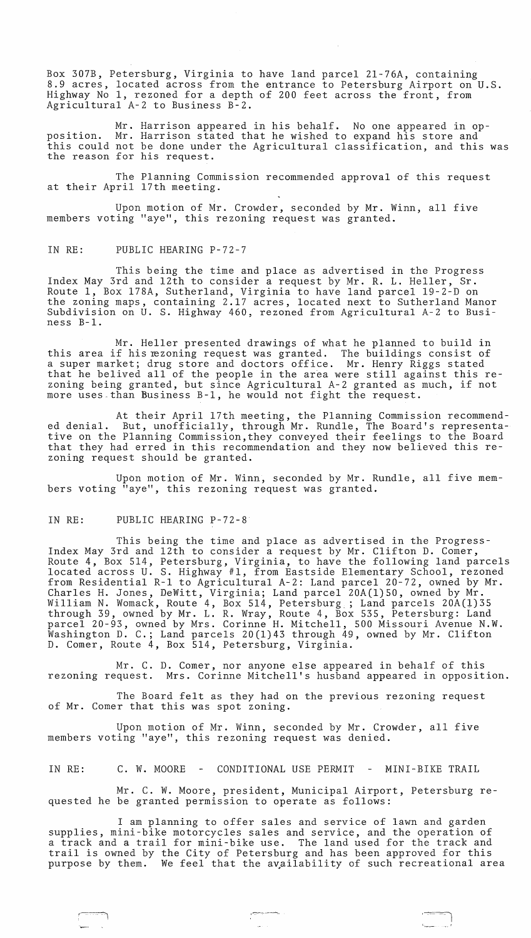Box 307B, Petersburg, Virginia to have land parcel 2l-76A, containing 8.9 acres, located across from the entrance to Petersburg Airport on U.S. Highway No 1, rezoned for a depth of 200 feet across the front, from Agricultural A-2 to Business B-2.

Mr. Harrison appeared in his behalf. No one appeared in opposition. Mr. Harrison stated that he wished to expand his store and this could not be done under the Agricultural classification, and this was the reason for his request.

The Planning Commission recommended approval of this request at their April 17th meeting.

Upon motion of Mr. Crowder, seconded by Mr. Winn, all five members voting "aye", this rezoning request was granted.

## IN RE: PUBLIC HEARING P-72-7

This being the time and place as advertised in the Progress Index May 3rd and 12th to consider a request by Mr. R. L. Heller, Sr. Route 1, Box l78A, Sutherland, Virginia to have land parcel 19-2-D on the zoning maps, containing 2.17 acres, located next to Sutherland Manor Subdivision on U. S. Highway 460, rezoned from Agricultural A-2 to Business B-1.

Mr. Heller presented drawings of what he planned to build in this area if his rezoning request was granted. The buildings consist of a super market; drug store and doctors office. Mr. Henry Riggs stated a super market, drug store and doctors office. Mr. Henry kiggs stated<br>that he belived all of the people in the area were still against this rezoning being granted, but since Agricultural A-2 granted as much, if not more uses than Business B-1, he would not fight the request.

At their April 17th meeting, the Planning Commission recommended denial. But, unofficially, through Mr. Rundle, The Board's representative on the Planning Commission,they conveyed their feelings to the Board that they had erred in this recommendation and they now believed this rezoning request should be granted.

Upon motion of Mr. Winn, seconded by Mr. Rundle, all five members voting "aye", this rezoning request was granted.

## IN RE: PUBLIC HEARING P-72-8

This being the time and place as advertised in the Progress-Index May 3rd and 12th to consider a request by Mr. Clifton D. Comer, Route 4, Box 514, Petersburg, Virginia, to have the following land parcels located across U. S. Highway #1, from Eastside Elementary School, rezoned from Residential R-l to Agricultural A-2: Land parcel 20-72, owned by Mr. Charles H. Jones, DeWitt, Virginia; Land parcel 20A(1)50, owned by Mr. William N. Womack, Route 4, Box 514, Petersburg ; Land parcels 20A(1)35 through 39, owned by Mr. L. R. Wray, Route 4, Box 535, Petersburg: Land parcel 20-93, owned by Mrs. Corinne H. Mitchell, 500 Missouri Avenue N.W. Washington D. C.; Land parcels 20(1)43 through 49, owned by Mr. Clifton D. Comer, Route 4, Box 514, Petersburg, Virginia.

Mr. C. D. Comer, nor anyone else appeared in behalf of this<br>rezoning request. Mrs. Corinne Mitchell's husband appeared in opposit Mrs. Corinne Mitchell's husband appeared in opposition.

The Board felt as they had on the previous rezoning request of Mr. Comer that this was spot zoning.

Upon motion of Mr. Winn, seconded by Mr. Crowder, all five members voting "aye", this rezoning request was denied.

IN RE: C. W. MOORE - CONDITIONAL USE PERMIT - MINI-BIKE TRAIL

Mr. C. W. Moore, president, Municipal Airport, Petersburg requested he be granted permission to operate as follows:

I am planning to offer sales and service of lawn and garden supplies, mini-bike motorcycles sales and service, and the operation of suppries, mini-bike motorcycles sales and service, and the operation of<br>a track and a trail for mini-bike use. The land used for the track and a track and a trail for mini-bike use. The fand used for the track and trail is owned by the City of Petersburg and has been approved for this purpose by them. We feel that the availability of such recreational area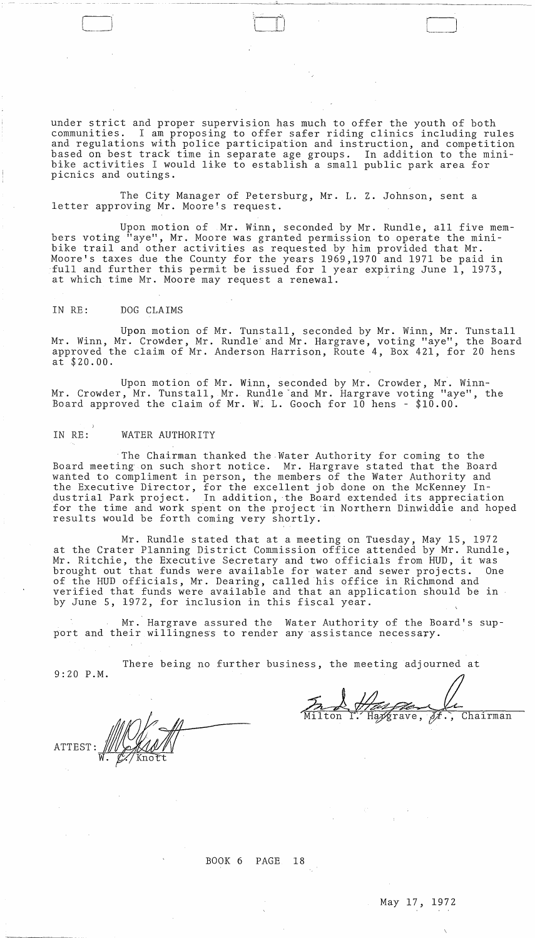under strict and proper supervision has much to offer the youth of both communities. I am proposing to offer safer riding clinics including ru I am proposing to offer safer riding clinics including rules and regulations with police participation and instruction, and competition based on best track time in separate age groups. In addition to the minibike activities I would like to establish a small public park area for picnics and outings.

---~----~---~~~--"----~~~--~~~~~~~~~~~~-

The City Manager of Petersburg, Mr. L. Z. Johnson, sent a letter approving Mr. Moore's request.

Upon motion of Mr. Winn, seconded by Mr. Rundle, all five members voting "aye", Mr. Moore was granted permission to operate the minibike trail and other activities as requested by him provided that Mr. Moore's taxes due the County for the years 1969,1970 and 1971 be paid in full and further this permit be issued for 1 year expiring June 1, 1973, at which time Mr. Moore may request a renewal.

## IN RE: DOG CLAIMS

Upon motion of Mr. Tunstall, seconded by Mr. Winn, Mr. Tunstall Mr. Winn, Mr. Crowder, Mr. Rundle and Mr. Hargrave, voting "aye", the Board approved the claim of Mr. Anderson Harrison, Route 4, Box 421, for 20 hens at \$20.00.

Upon motion of Mr. Winn, seconded by Mr. Crowder, Mr. Winn-Mr. Crowder, Mr. Tunstall, Mr. Rundle "and Mr. Hargrave voting "aye", the Board approved the claim of Mr.  $W_+$  L. Gooch for 10 hens - \$10.00.

## IN RE: WATER AUTHORITY

The Chairman thanked the Water Authority for coming to the Board meeting on such short notice. Mr. Hargrave stated that the Board wanted to compliment in person, the members of the Water Authority and the Executive Director, for the excellent job done on the McKenney In- .dustrial Park project. In addition, the Board extended its appreciation for the time and work spent on the project in Northern Dinwiddie and hoped results would be forth coming very shortly.

Mr. Rundle stated that at a meeting on Tuesday, May 15, 1972 at the Crater Planning District Commission office attended by Mr. Rundle, Mr. Ritchie, the Executive Secretary and two officials from HUD, it was<br>brought out that funds were available for water and sewer projects. One brought out that funds were available for water and sewer projects. of the HUD officials, Mr. Dearing, called his office in Richmond and verified that funds were available and that an application should be in by June 5, 1972, for inclusion in this fiscal year.

Mr. Hargrave assured the Water Authority of the Board's support and their willingness to render any assistance necessary.

There being no further business, the meeting adjourned at 9:20 P.M.

 $\overrightarrow{y}$ frave,  $\overrightarrow{y}$ ., Chairman

**ATTEST** 

BOOK 6 PAGE 18